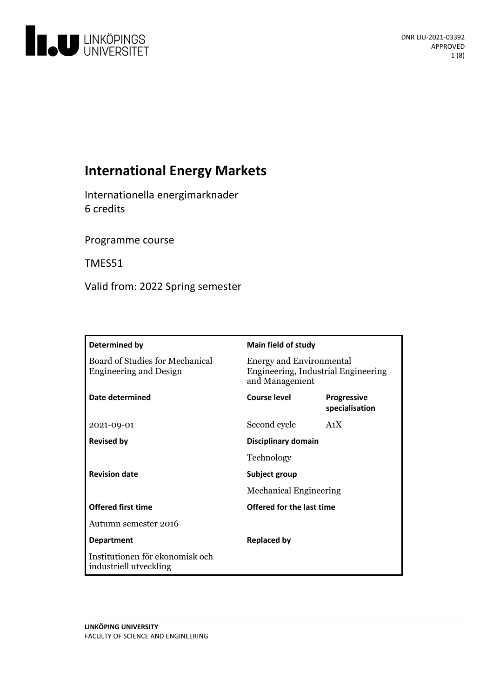

# **International Energy Markets**

Internationella energimarknader 6 credits

Programme course

TMES51

Valid from: 2022 Spring semester

| Determined by                                                    | <b>Main field of study</b>                                                               |                                      |
|------------------------------------------------------------------|------------------------------------------------------------------------------------------|--------------------------------------|
| Board of Studies for Mechanical<br><b>Engineering and Design</b> | <b>Energy and Environmental</b><br>Engineering, Industrial Engineering<br>and Management |                                      |
| Date determined                                                  | Course level                                                                             | <b>Progressive</b><br>specialisation |
| 2021-09-01                                                       | Second cycle                                                                             | A <sub>1</sub> X                     |
| <b>Revised by</b>                                                | Disciplinary domain                                                                      |                                      |
|                                                                  | Technology                                                                               |                                      |
| <b>Revision date</b>                                             | Subject group                                                                            |                                      |
|                                                                  | <b>Mechanical Engineering</b>                                                            |                                      |
| <b>Offered first time</b>                                        | Offered for the last time                                                                |                                      |
| Autumn semester 2016                                             |                                                                                          |                                      |
| <b>Department</b>                                                | <b>Replaced by</b>                                                                       |                                      |
| Institutionen för ekonomisk och<br>industriell utveckling        |                                                                                          |                                      |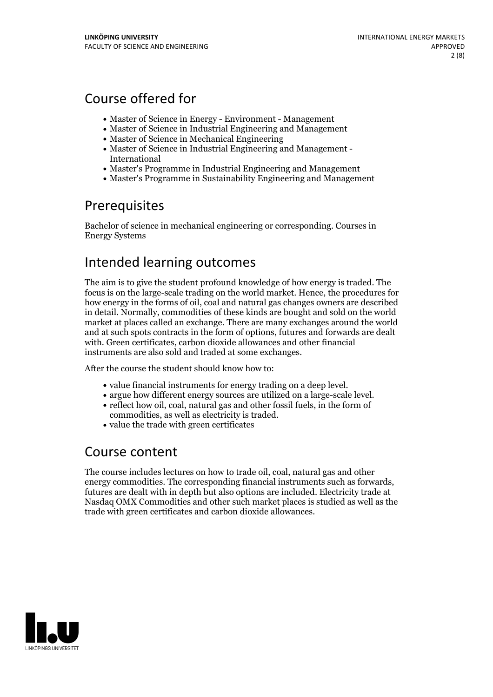# Course offered for

- Master of Science in Energy Environment Management
- Master of Science in Industrial Engineering and Management
- Master of Science in Mechanical Engineering
- Master of Science in Industrial Engineering and Management International
- Master's Programme in Industrial Engineering and Management
- Master's Programme in Sustainability Engineering and Management

# Prerequisites

Bachelor of science in mechanical engineering or corresponding. Courses in Energy Systems

# Intended learning outcomes

The aim is to give the student profound knowledge of how energy is traded. The focus is on the large-scale trading on the world market. Hence, the procedures for how energy in the forms of oil, coal and natural gas changes owners are described in detail. Normally, commodities of these kinds are bought and sold on the world market at places called an exchange. There are many exchanges around the world and at such spots contracts in the form of options, futures and forwards are dealt with. Green certificates, carbon dioxide allowances and other financial instruments are also sold and traded at some exchanges.

After the course the student should know how to:

- 
- value financial instruments for energy trading on <sup>a</sup> deep level. argue how different energy sources are utilized on <sup>a</sup> large-scale level. reflect how oil, coal, natural gas and other fossil fuels, in the form of
- commodities, as well as electricity is traded.<br>• value the trade with green certificates
- 

## Course content

The course includes lectures on how to trade oil, coal, natural gas and other energy commodities. The corresponding financial instruments such as forwards, futures are dealt with in depth butalso options are included. Electricity trade at Nasdaq OMX Commodities and other such market places is studied as well as the trade with green certificates and carbon dioxide allowances.

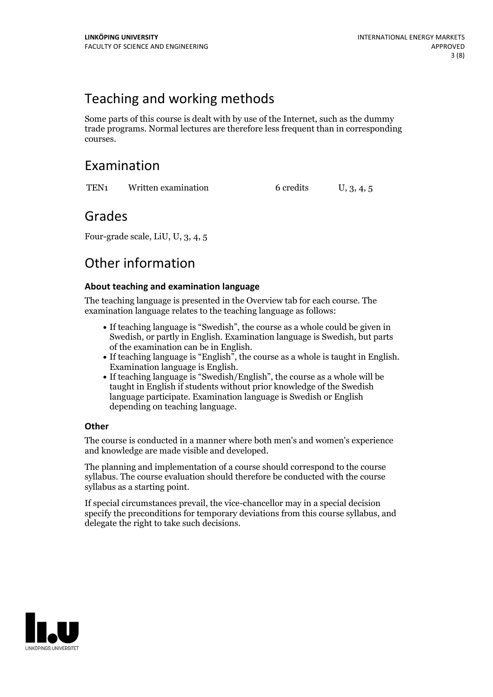# Teaching and working methods

Some parts of this course is dealt with by use of the Internet, such as the dummy trade programs. Normal lectures are therefore less frequent than in corresponding courses.

## Examination

TEN<sub>1</sub> Written examination 6 credits U, 3, 4, 5

## Grades

Four-grade scale, LiU, U, 3, 4, 5

# Other information

### **About teaching and examination language**

The teaching language is presented in the Overview tab for each course. The examination language relates to the teaching language as follows:

- If teaching language is "Swedish", the course as a whole could be given in Swedish, or partly in English. Examination language is Swedish, but parts
- of the examination can be in English. If teaching language is "English", the course as <sup>a</sup> whole is taught in English. Examination language is English. If teaching language is "Swedish/English", the course as <sup>a</sup> whole will be
- taught in English if students without prior knowledge of the Swedish language participate. Examination language is Swedish or English depending on teaching language.

### **Other**

The course is conducted in a manner where both men's and women's experience and knowledge are made visible and developed.

The planning and implementation of a course should correspond to the course syllabus. The course evaluation should therefore be conducted with the course syllabus as a starting point.

If special circumstances prevail, the vice-chancellor may in a special decision specify the preconditions for temporary deviations from this course syllabus, and delegate the right to take such decisions.

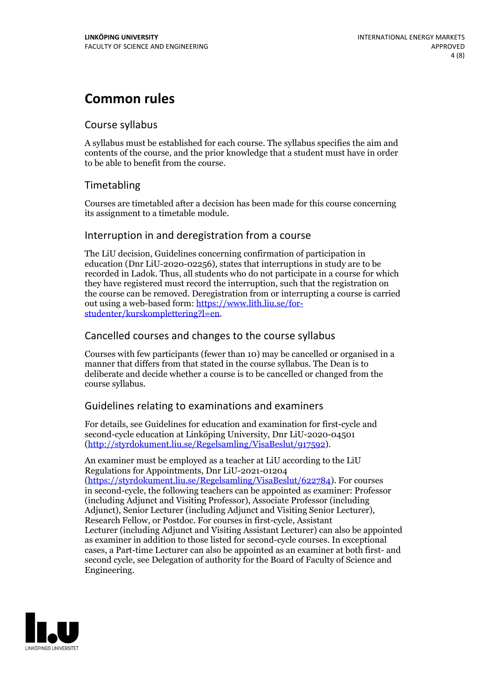# **Common rules**

### Course syllabus

A syllabus must be established for each course. The syllabus specifies the aim and contents of the course, and the prior knowledge that a student must have in order to be able to benefit from the course.

## Timetabling

Courses are timetabled after a decision has been made for this course concerning its assignment to a timetable module.

### Interruption in and deregistration from a course

The LiU decision, Guidelines concerning confirmation of participation in education (Dnr LiU-2020-02256), states that interruptions in study are to be recorded in Ladok. Thus, all students who do not participate in a course for which they have registered must record the interruption, such that the registration on the course can be removed. Deregistration from or interrupting a course is carried out using <sup>a</sup> web-based form: https://www.lith.liu.se/for- [studenter/kurskomplettering?l=en.](https://www.lith.liu.se/for-studenter/kurskomplettering?l=en)

## Cancelled courses and changes to the course syllabus

Courses with few participants (fewer than 10) may be cancelled or organised in a manner that differs from that stated in the course syllabus. The Dean is to deliberate and decide whether a course is to be cancelled or changed from the course syllabus.

## Guidelines relating to examinations and examiners

For details, see Guidelines for education and examination for first-cycle and second-cycle education at Linköping University, Dnr LiU-2020-04501 [\(http://styrdokument.liu.se/Regelsamling/VisaBeslut/917592\)](http://styrdokument.liu.se/Regelsamling/VisaBeslut/917592).

An examiner must be employed as a teacher at LiU according to the LiU Regulations for Appointments, Dnr LiU-2021-01204 [\(https://styrdokument.liu.se/Regelsamling/VisaBeslut/622784](https://styrdokument.liu.se/Regelsamling/VisaBeslut/622784)). For courses in second-cycle, the following teachers can be appointed as examiner: Professor (including Adjunct and Visiting Professor), Associate Professor (including Adjunct), Senior Lecturer (including Adjunct and Visiting Senior Lecturer), Research Fellow, or Postdoc. For courses in first-cycle, Assistant Lecturer (including Adjunct and Visiting Assistant Lecturer) can also be appointed as examiner in addition to those listed for second-cycle courses. In exceptional cases, a Part-time Lecturer can also be appointed as an examiner at both first- and second cycle, see Delegation of authority for the Board of Faculty of Science and Engineering.

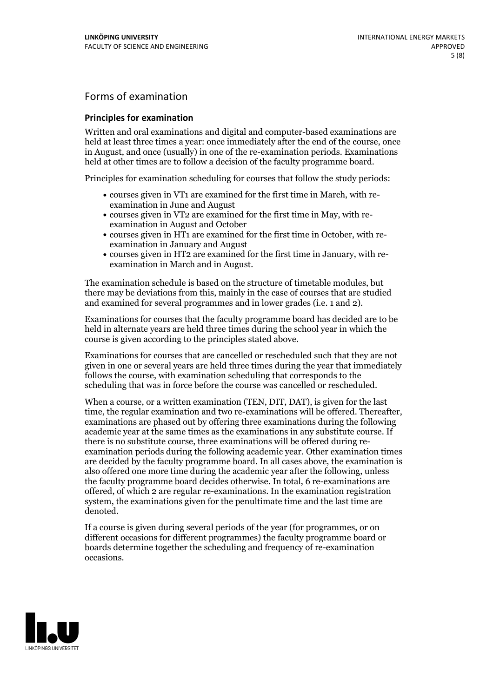## Forms of examination

#### **Principles for examination**

Written and oral examinations and digital and computer-based examinations are held at least three times a year: once immediately after the end of the course, once in August, and once (usually) in one of the re-examination periods. Examinations held at other times are to follow a decision of the faculty programme board.

Principles for examination scheduling for courses that follow the study periods:

- courses given in VT1 are examined for the first time in March, with re-examination in June and August
- courses given in VT2 are examined for the first time in May, with re-examination in August and October
- courses given in HT1 are examined for the first time in October, with re-examination in January and August
- courses given in HT2 are examined for the first time in January, with re-examination in March and in August.

The examination schedule is based on the structure of timetable modules, but there may be deviations from this, mainly in the case of courses that are studied and examined for several programmes and in lower grades (i.e. 1 and 2).

Examinations for courses that the faculty programme board has decided are to be held in alternate years are held three times during the school year in which the course is given according to the principles stated above.

Examinations for courses that are cancelled orrescheduled such that they are not given in one or several years are held three times during the year that immediately follows the course, with examination scheduling that corresponds to the scheduling that was in force before the course was cancelled or rescheduled.

When a course, or a written examination (TEN, DIT, DAT), is given for the last time, the regular examination and two re-examinations will be offered. Thereafter, examinations are phased out by offering three examinations during the following academic year at the same times as the examinations in any substitute course. If there is no substitute course, three examinations will be offered during re- examination periods during the following academic year. Other examination times are decided by the faculty programme board. In all cases above, the examination is also offered one more time during the academic year after the following, unless the faculty programme board decides otherwise. In total, 6 re-examinations are offered, of which 2 are regular re-examinations. In the examination registration system, the examinations given for the penultimate time and the last time are denoted.

If a course is given during several periods of the year (for programmes, or on different occasions for different programmes) the faculty programme board or boards determine together the scheduling and frequency of re-examination occasions.

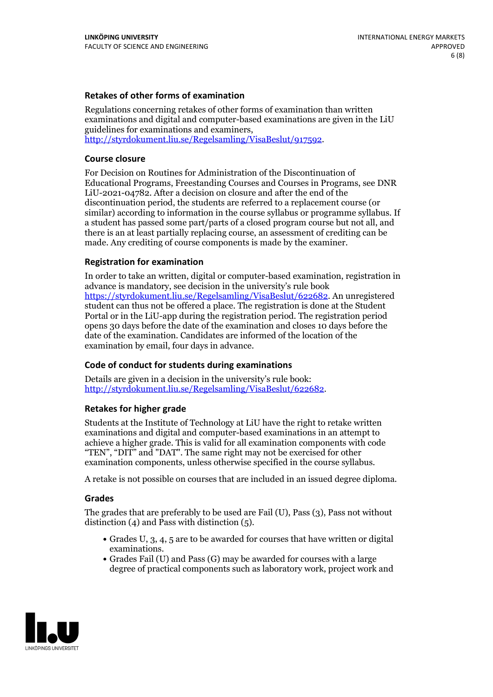### **Retakes of other forms of examination**

Regulations concerning retakes of other forms of examination than written examinations and digital and computer-based examinations are given in the LiU guidelines for examinations and examiners, [http://styrdokument.liu.se/Regelsamling/VisaBeslut/917592.](http://styrdokument.liu.se/Regelsamling/VisaBeslut/917592)

#### **Course closure**

For Decision on Routines for Administration of the Discontinuation of Educational Programs, Freestanding Courses and Courses in Programs, see DNR LiU-2021-04782. After a decision on closure and after the end of the discontinuation period, the students are referred to a replacement course (or similar) according to information in the course syllabus or programme syllabus. If a student has passed some part/parts of a closed program course but not all, and there is an at least partially replacing course, an assessment of crediting can be made. Any crediting of course components is made by the examiner.

#### **Registration for examination**

In order to take an written, digital or computer-based examination, registration in advance is mandatory, see decision in the university's rule book [https://styrdokument.liu.se/Regelsamling/VisaBeslut/622682.](https://styrdokument.liu.se/Regelsamling/VisaBeslut/622682) An unregistered student can thus not be offered a place. The registration is done at the Student Portal or in the LiU-app during the registration period. The registration period opens 30 days before the date of the examination and closes 10 days before the date of the examination. Candidates are informed of the location of the examination by email, four days in advance.

#### **Code of conduct for students during examinations**

Details are given in a decision in the university's rule book: <http://styrdokument.liu.se/Regelsamling/VisaBeslut/622682>.

#### **Retakes for higher grade**

Students at the Institute of Technology at LiU have the right to retake written examinations and digital and computer-based examinations in an attempt to achieve a higher grade. This is valid for all examination components with code "TEN", "DIT" and "DAT". The same right may not be exercised for other examination components, unless otherwise specified in the course syllabus.

A retake is not possible on courses that are included in an issued degree diploma.

#### **Grades**

The grades that are preferably to be used are Fail (U), Pass (3), Pass not without distinction  $(4)$  and Pass with distinction  $(5)$ .

- Grades U, 3, 4, 5 are to be awarded for courses that have written or digital examinations.<br>• Grades Fail (U) and Pass (G) may be awarded for courses with a large
- degree of practical components such as laboratory work, project work and

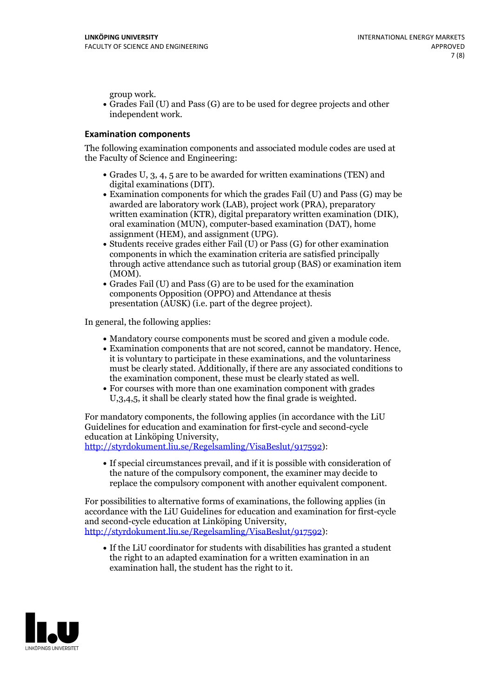group work.<br>• Grades Fail (U) and Pass (G) are to be used for degree projects and other independent work.

### **Examination components**

The following examination components and associated module codes are used at the Faculty of Science and Engineering:

- Grades U, 3, 4, 5 are to be awarded for written examinations (TEN) and
- digital examinations (DIT).<br>• Examination components for which the grades Fail (U) and Pass (G) may be awarded are laboratory work (LAB), project work (PRA), preparatory written examination (KTR), digital preparatory written examination (DIK), oral examination (MUN), computer-based examination (DAT), home
- assignment (HEM), and assignment (UPG).<br>• Students receive grades either Fail (U) or Pass (G) for other examination components in which the examination criteria are satisfied principally through active attendance such as tutorial group (BAS) or examination item
- (MOM).<br>• Grades Fail (U) and Pass (G) are to be used for the examination components Opposition (OPPO) and Attendance at thesis presentation (AUSK) (i.e. part of the degree project).

In general, the following applies:

- 
- Mandatory course components must be scored and given <sup>a</sup> module code. Examination components that are not scored, cannot be mandatory. Hence, it is voluntary to participate in these examinations, and the voluntariness must be clearly stated. Additionally, if there are any associated conditions to
- the examination component, these must be clearly stated as well.<br>• For courses with more than one examination component with grades U,3,4,5, it shall be clearly stated how the final grade is weighted.

For mandatory components, the following applies (in accordance with the LiU Guidelines for education and examination for first-cycle and second-cycle education at Linköping University,<br>[http://styrdokument.liu.se/Regelsamling/VisaBeslut/917592\)](http://styrdokument.liu.se/Regelsamling/VisaBeslut/917592):

If special circumstances prevail, and if it is possible with consideration of the nature of the compulsory component, the examiner may decide to replace the compulsory component with another equivalent component.

For possibilities to alternative forms of examinations, the following applies (in accordance with the LiU Guidelines for education and examination for first-cycle [http://styrdokument.liu.se/Regelsamling/VisaBeslut/917592\)](http://styrdokument.liu.se/Regelsamling/VisaBeslut/917592):

If the LiU coordinator for students with disabilities has granted a student the right to an adapted examination for a written examination in an examination hall, the student has the right to it.